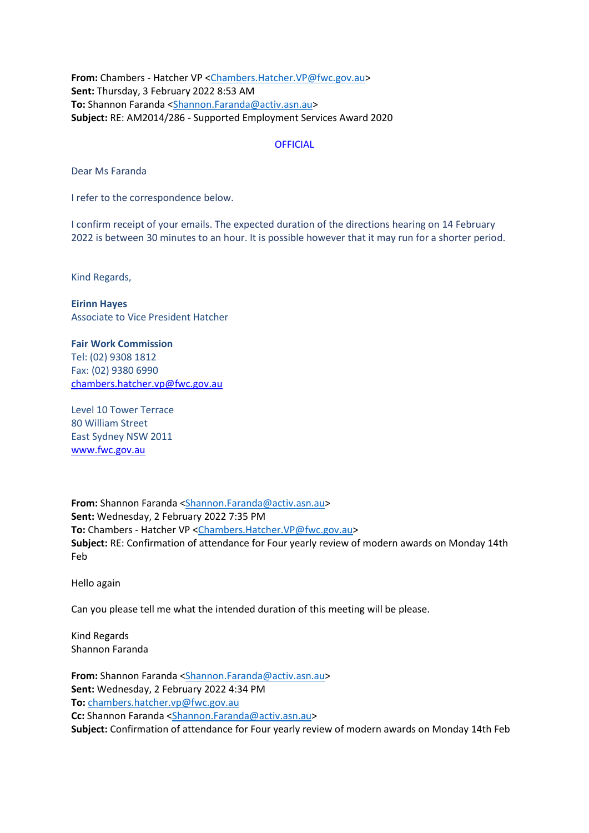**From:** Chambers - Hatcher VP [<Chambers.Hatcher.VP@fwc.gov.au>](mailto:Chambers.Hatcher.VP@fwc.gov.au) **Sent:** Thursday, 3 February 2022 8:53 AM **To:** Shannon Faranda [<Shannon.Faranda@activ.asn.au>](mailto:Shannon.Faranda@activ.asn.au) **Subject:** RE: AM2014/286 - Supported Employment Services Award 2020

## OFFICIAL

Dear Ms Faranda

I refer to the correspondence below.

I confirm receipt of your emails. The expected duration of the directions hearing on 14 February 2022 is between 30 minutes to an hour. It is possible however that it may run for a shorter period.

Kind Regards,

**Eirinn Hayes** Associate to Vice President Hatcher

**Fair Work Commission**  Tel: (02) 9308 1812 Fax: (02) 9380 6990 [chambers.hatcher.vp@fwc.gov.au](mailto:chambers.hatcher.vp@fwc.gov.au) 

Level 10 Tower Terrace 80 William Street East Sydney NSW 2011 [www.fwc.gov.au](http://www.fwc.gov.au/)

**From:** Shannon Faranda [<Shannon.Faranda@activ.asn.au>](mailto:Shannon.Faranda@activ.asn.au) **Sent:** Wednesday, 2 February 2022 7:35 PM **To:** Chambers - Hatcher VP [<Chambers.Hatcher.VP@fwc.gov.au>](mailto:Chambers.Hatcher.VP@fwc.gov.au) **Subject:** RE: Confirmation of attendance for Four yearly review of modern awards on Monday 14th Feb

Hello again

Can you please tell me what the intended duration of this meeting will be please.

Kind Regards Shannon Faranda

**From:** Shannon Faranda [<Shannon.Faranda@activ.asn.au>](mailto:Shannon.Faranda@activ.asn.au) **Sent:** Wednesday, 2 February 2022 4:34 PM **To:** [chambers.hatcher.vp@fwc.gov.au](mailto:chambers.hatcher.vp@fwc.gov.au) **Cc:** Shannon Faranda [<Shannon.Faranda@activ.asn.au>](mailto:Shannon.Faranda@activ.asn.au) **Subject:** Confirmation of attendance for Four yearly review of modern awards on Monday 14th Feb